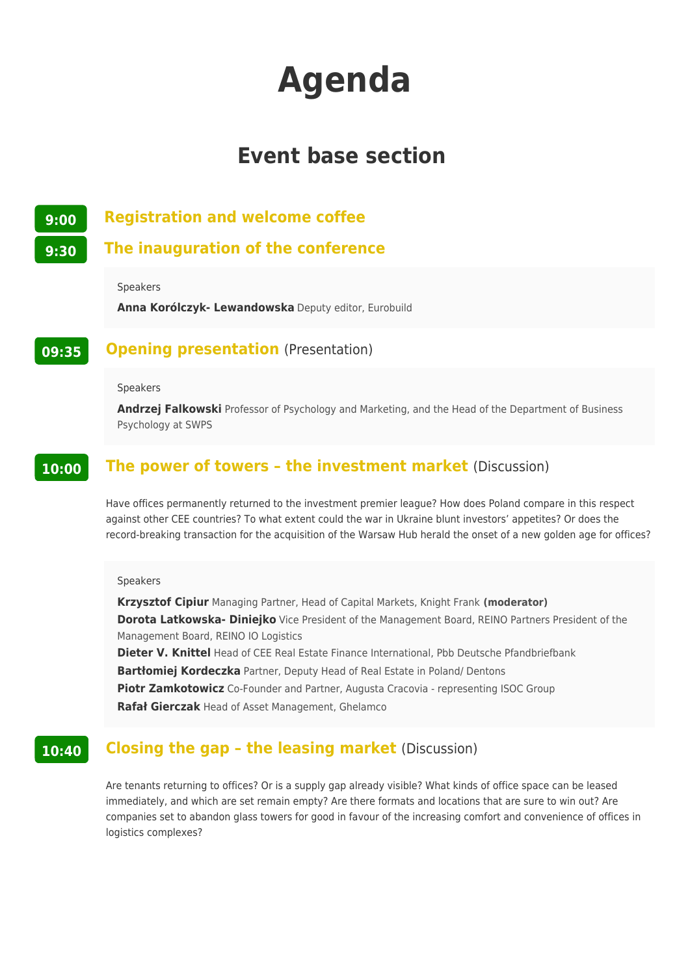# **Agenda**

# **Event base section**

**9:00 Registration and welcome coffee**

**9:30 The inauguration of the conference**

Speakers

**Anna Korólczyk- Lewandowska** Deputy editor, Eurobuild

## **09:35 Opening presentation** (Presentation)

#### Speakers

**Andrzej Falkowski** Professor of Psychology and Marketing, and the Head of the Department of Business Psychology at SWPS

### **10:00** The power of towers - the investment market (Discussion)

Have offices permanently returned to the investment premier league? How does Poland compare in this respect against other CEE countries? To what extent could the war in Ukraine blunt investors' appetites? Or does the record-breaking transaction for the acquisition of the Warsaw Hub herald the onset of a new golden age for offices?

#### Speakers

**Krzysztof Cipiur** Managing Partner, Head of Capital Markets, Knight Frank **(moderator) Dorota Latkowska- Diniejko** Vice President of the Management Board, REINO Partners President of the Management Board, REINO IO Logistics **Dieter V. Knittel** Head of CEE Real Estate Finance International, Pbb Deutsche Pfandbriefbank **Bartłomiej Kordeczka** Partner, Deputy Head of Real Estate in Poland/ Dentons **Piotr Zamkotowicz** Co-Founder and Partner, Augusta Cracovia - representing ISOC Group

**Rafał Gierczak** Head of Asset Management, Ghelamco

# **10:40 Closing the gap - the leasing market** (Discussion)

Are tenants returning to offices? Or is a supply gap already visible? What kinds of office space can be leased immediately, and which are set remain empty? Are there formats and locations that are sure to win out? Are companies set to abandon glass towers for good in favour of the increasing comfort and convenience of offices in logistics complexes?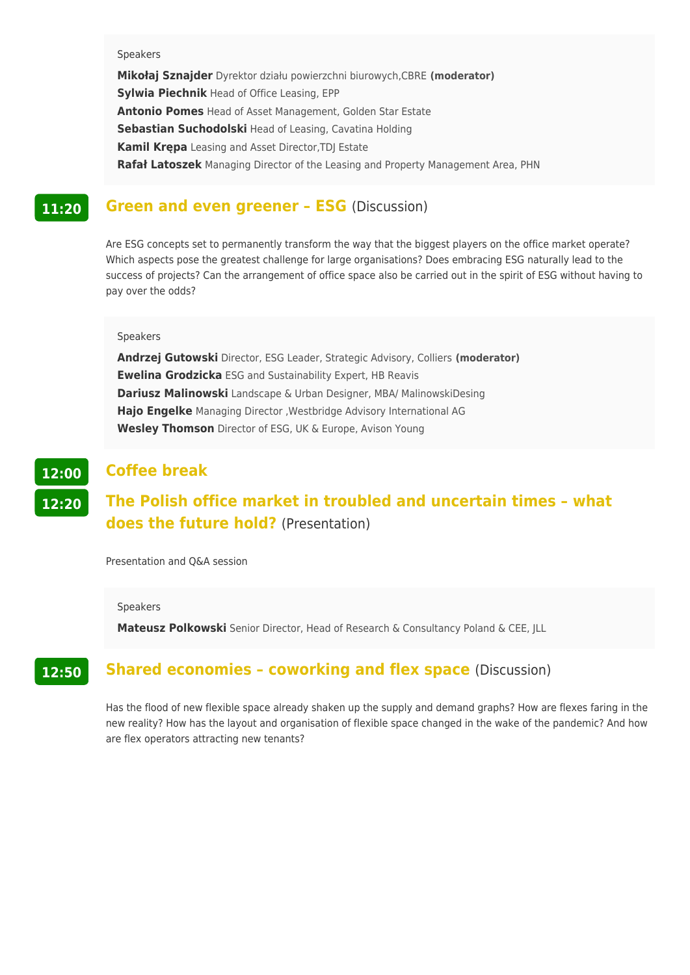#### Speakers

**Mikołaj Sznajder** Dyrektor działu powierzchni biurowych,CBRE **(moderator) Sylwia Piechnik** Head of Office Leasing, EPP **Antonio Pomes** Head of Asset Management, Golden Star Estate **Sebastian Suchodolski** Head of Leasing, Cavatina Holding **Kamil Krępa** Leasing and Asset Director,TDJ Estate **Rafał Latoszek** Managing Director of the Leasing and Property Management Area, PHN

#### **11:20 Green and even greener – ESG** (Discussion)

Are ESG concepts set to permanently transform the way that the biggest players on the office market operate? Which aspects pose the greatest challenge for large organisations? Does embracing ESG naturally lead to the success of projects? Can the arrangement of office space also be carried out in the spirit of ESG without having to pay over the odds?

#### Speakers

**Andrzej Gutowski** Director, ESG Leader, Strategic Advisory, Colliers **(moderator) Ewelina Grodzicka** ESG and Sustainability Expert, HB Reavis **Dariusz Malinowski** Landscape & Urban Designer, MBA/ MalinowskiDesing **Hajo Engelke** Managing Director ,Westbridge Advisory International AG **Wesley Thomson** Director of ESG, UK & Europe, Avison Young

#### **12:00 Coffee break**

## **12:20 The Polish office market in troubled and uncertain times – what does the future hold?** (Presentation)

Presentation and Q&A session

#### Speakers

**Mateusz Polkowski** Senior Director, Head of Research & Consultancy Poland & CEE, JLL

## **12:50** Shared economies - coworking and flex space (Discussion)

Has the flood of new flexible space already shaken up the supply and demand graphs? How are flexes faring in the new reality? How has the layout and organisation of flexible space changed in the wake of the pandemic? And how are flex operators attracting new tenants?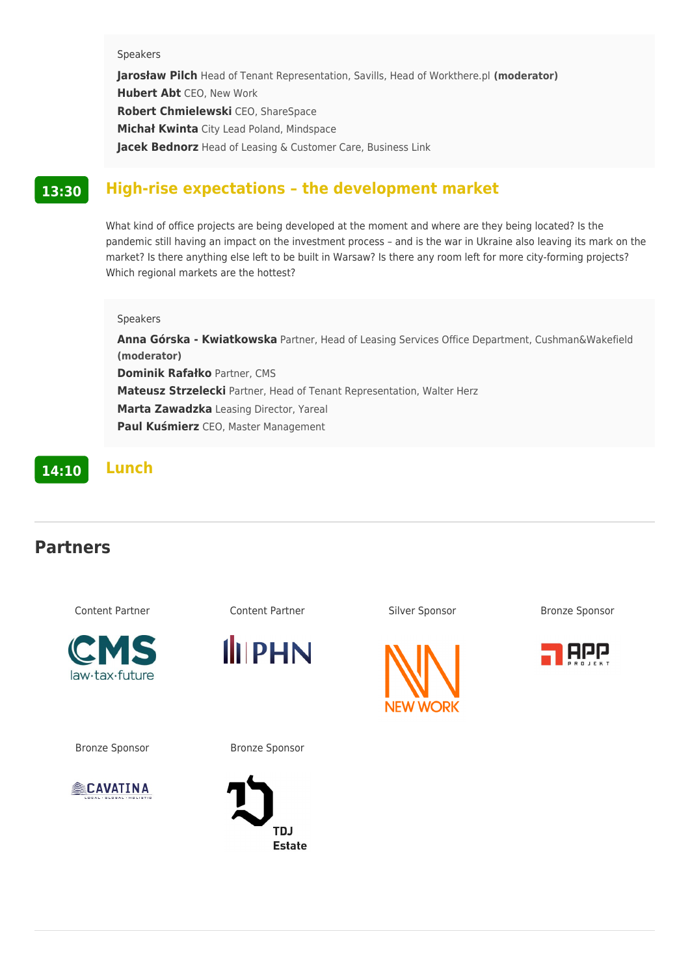Speakers JarosBaw Pile and of Tenant Representation, Savills, (mHoe daelranto Workthere.pl Hubert A **C**EO, New Work Robert Chmiele WEsCk, i ShareSpace MichaB KwCntya Lead Poland, Mindspace Jacek BednHoerazd of Leasing & Customer Care, Business Link

## 13:30 High-rise expectations the development market

What kind of office projects are being developed at the moment and where are th pandemic still having an impact on the investment process and is the war in Uk market? Is there anything else left to be built in Warsaw? Is there any room left Which regional markets are the hottest?

Speakers Anna Górska - Kwiat Rowska, Head of Leasing Services Office Department, Cu (moderator) Dominik RafaBktoner, CMS Mateusz Strze Packnier, Head of Tenant Representation, Walter Herz Marta Zawadzeka sing Director, Yareal Paul Ku[mi@E2O, Master Management

14:1 Lunch

## Partners

| Content Partner | Content Partner | Silver Sponsor | Bronze Sponsor |
|-----------------|-----------------|----------------|----------------|
|                 |                 |                |                |

Bronze Sponsor Bronze Sponso[r](https://newworkoffices.com/)